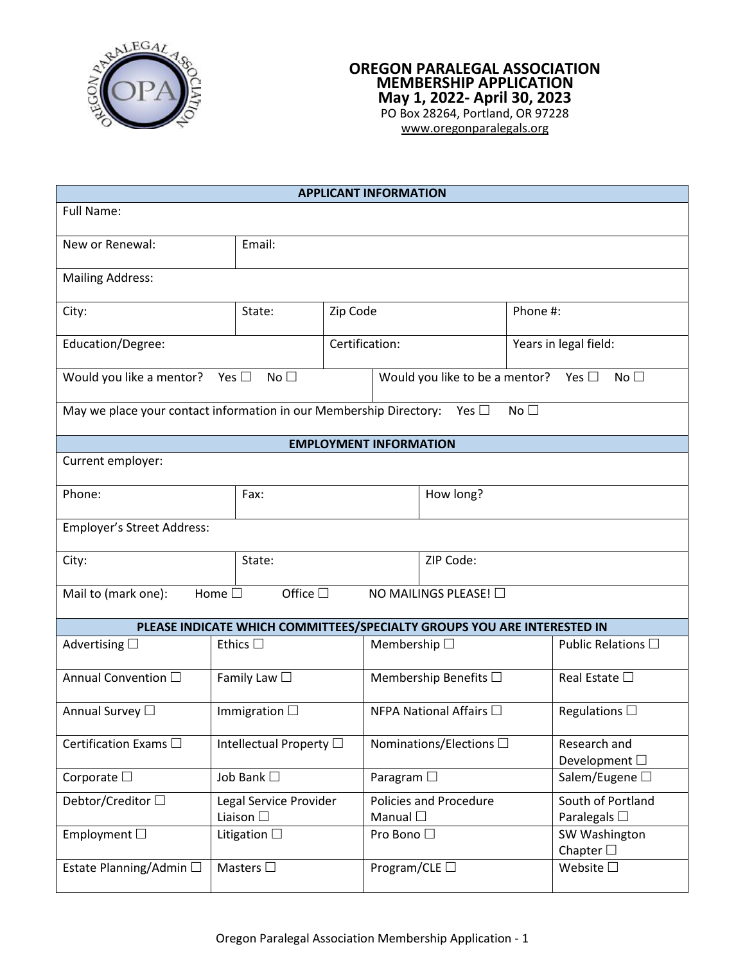

## **OREGON PARALEGAL ASSOCIATION MEMBERSHIP APPLICATION May 1, 2022- April 30, 2023** PO Box 28264, Portland, OR 97228 [www.oregonparalegals.org](http://www.oregonparalegals.org/)

**APPLICANT INFORMATION** Full Name: New or Renewal: Email: Mailing Address: City:  $\begin{array}{|c|c|c|c|c|}\n\hline\n\end{array}$  State:  $\begin{array}{|c|c|c|c|c|}\n\hline\n\end{array}$   $\begin{array}{|c|c|c|c|}\n\hline\n\end{array}$  Phone #: Education/Degree:  $\vert$  Certification:  $\vert$  Years in legal field: Would you like a mentor? No  $\square$  No  $\square$  No  $\square$  Nould you like to be a mentor? No  $\square$  No  $\square$ May we place your contact information in our Membership Directory: Yes  $\square$  No  $\square$ **EMPLOYMENT INFORMATION** Current employer: Phone:  $|$  Fax:  $|$  Fax:  $|$  How long? Employer's Street Address: City:  $\begin{array}{|c|c|c|c|c|}\n\hline\n\end{array}$  State:  $\begin{array}{|c|c|c|c|c|}\n\hline\n\end{array}$  ZIP Code: Mail to (mark one): Home  $\square$  Office  $\square$  NO MAILINGS PLEASE!  $\square$ **PLEASE INDICATE WHICH COMMITTEES/SPECIALTY GROUPS YOU ARE INTERESTED IN** Advertising  $\Box$  Ethics  $\Box$  Membership  $\Box$  Public Relations  $\Box$ Annual Convention  $\Box$  Family Law  $\Box$  Membership Benefits  $\Box$  Real Estate  $\Box$ Annual Survey  $\square$  Immigration  $\square$  Immigration  $\square$  Interval Affairs  $\square$  Regulations  $\square$ Certification Exams  $\Box$  Intellectual Property  $\Box$  Intellectual Property  $\Box$  Intellectual Property  $\Box$  Intellectual Property  $\Box$  Intellectual Property  $\Box$  Intellectual Property  $\Box$  Intellectual Property  $\Box$  Intelle Development  $\square$ Corporate  $\square$   $\Box$   $\Box$   $\Box$  Paragram  $\square$   $\Box$  Salem/Eugene  $\square$ Debtor/Creditor  $\Box$  Legal Service Provider Liaison  $\square$ Policies and Procedure Manual  $\square$ South of Portland Paralegals  $\Box$ Employment  $\Box$  Litigation  $\Box$  Pro Bono  $\Box$  SW Washington Chapter  $\square$ Estate Planning/Admin  $\Box$  | Masters  $\Box$  | Program/CLE  $\Box$  | Website  $\Box$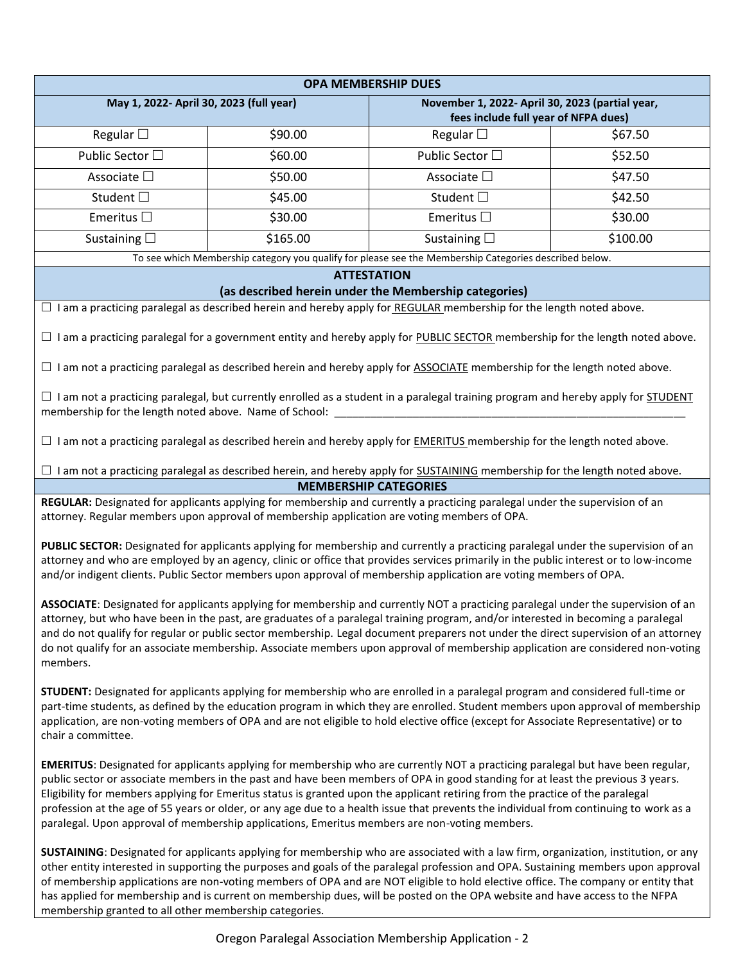| <b>OPA MEMBERSHIP DUES</b>                                                                                                                                                                                                                                                                                                                                                                                                                                                                                                                                                                                                                      |          |                                                           |          |
|-------------------------------------------------------------------------------------------------------------------------------------------------------------------------------------------------------------------------------------------------------------------------------------------------------------------------------------------------------------------------------------------------------------------------------------------------------------------------------------------------------------------------------------------------------------------------------------------------------------------------------------------------|----------|-----------------------------------------------------------|----------|
| May 1, 2022- April 30, 2023 (full year)                                                                                                                                                                                                                                                                                                                                                                                                                                                                                                                                                                                                         |          | November 1, 2022- April 30, 2023 (partial year,           |          |
| Regular $\square$                                                                                                                                                                                                                                                                                                                                                                                                                                                                                                                                                                                                                               | \$90.00  | fees include full year of NFPA dues)<br>Regular $\square$ | \$67.50  |
| Public Sector □                                                                                                                                                                                                                                                                                                                                                                                                                                                                                                                                                                                                                                 | \$60.00  | Public Sector □                                           | \$52.50  |
| Associate □                                                                                                                                                                                                                                                                                                                                                                                                                                                                                                                                                                                                                                     | \$50.00  | Associate □                                               | \$47.50  |
|                                                                                                                                                                                                                                                                                                                                                                                                                                                                                                                                                                                                                                                 |          |                                                           |          |
| Student □                                                                                                                                                                                                                                                                                                                                                                                                                                                                                                                                                                                                                                       | \$45.00  | Student □                                                 | \$42.50  |
| Emeritus $\Box$                                                                                                                                                                                                                                                                                                                                                                                                                                                                                                                                                                                                                                 | \$30.00  | Emeritus $\square$                                        | \$30.00  |
| Sustaining $\square$                                                                                                                                                                                                                                                                                                                                                                                                                                                                                                                                                                                                                            | \$165.00 | Sustaining $\square$                                      | \$100.00 |
| To see which Membership category you qualify for please see the Membership Categories described below.<br><b>ATTESTATION</b>                                                                                                                                                                                                                                                                                                                                                                                                                                                                                                                    |          |                                                           |          |
| (as described herein under the Membership categories)                                                                                                                                                                                                                                                                                                                                                                                                                                                                                                                                                                                           |          |                                                           |          |
| □ I am a practicing paralegal as described herein and hereby apply for REGULAR membership for the length noted above.                                                                                                                                                                                                                                                                                                                                                                                                                                                                                                                           |          |                                                           |          |
| $\Box$ I am a practicing paralegal for a government entity and hereby apply for PUBLIC SECTOR membership for the length noted above.                                                                                                                                                                                                                                                                                                                                                                                                                                                                                                            |          |                                                           |          |
| $\Box$ I am not a practicing paralegal as described herein and hereby apply for ASSOCIATE membership for the length noted above.                                                                                                                                                                                                                                                                                                                                                                                                                                                                                                                |          |                                                           |          |
| $\Box$ I am not a practicing paralegal, but currently enrolled as a student in a paralegal training program and hereby apply for STUDENT<br>membership for the length noted above. Name of School:                                                                                                                                                                                                                                                                                                                                                                                                                                              |          |                                                           |          |
| $\Box$ I am not a practicing paralegal as described herein and hereby apply for <b>EMERITUS</b> membership for the length noted above.                                                                                                                                                                                                                                                                                                                                                                                                                                                                                                          |          |                                                           |          |
| $\Box$ I am not a practicing paralegal as described herein, and hereby apply for SUSTAINING membership for the length noted above.                                                                                                                                                                                                                                                                                                                                                                                                                                                                                                              |          |                                                           |          |
| <b>MEMBERSHIP CATEGORIES</b><br>REGULAR: Designated for applicants applying for membership and currently a practicing paralegal under the supervision of an                                                                                                                                                                                                                                                                                                                                                                                                                                                                                     |          |                                                           |          |
| attorney. Regular members upon approval of membership application are voting members of OPA.                                                                                                                                                                                                                                                                                                                                                                                                                                                                                                                                                    |          |                                                           |          |
| PUBLIC SECTOR: Designated for applicants applying for membership and currently a practicing paralegal under the supervision of an<br>attorney and who are employed by an agency, clinic or office that provides services primarily in the public interest or to low-income<br>and/or indigent clients. Public Sector members upon approval of membership application are voting members of OPA.                                                                                                                                                                                                                                                 |          |                                                           |          |
| ASSOCIATE: Designated for applicants applying for membership and currently NOT a practicing paralegal under the supervision of an<br>attorney, but who have been in the past, are graduates of a paralegal training program, and/or interested in becoming a paralegal<br>and do not qualify for regular or public sector membership. Legal document preparers not under the direct supervision of an attorney<br>do not qualify for an associate membership. Associate members upon approval of membership application are considered non-voting<br>members.                                                                                   |          |                                                           |          |
| STUDENT: Designated for applicants applying for membership who are enrolled in a paralegal program and considered full-time or<br>part-time students, as defined by the education program in which they are enrolled. Student members upon approval of membership<br>application, are non-voting members of OPA and are not eligible to hold elective office (except for Associate Representative) or to<br>chair a committee.                                                                                                                                                                                                                  |          |                                                           |          |
| EMERITUS: Designated for applicants applying for membership who are currently NOT a practicing paralegal but have been regular,<br>public sector or associate members in the past and have been members of OPA in good standing for at least the previous 3 years.<br>Eligibility for members applying for Emeritus status is granted upon the applicant retiring from the practice of the paralegal<br>profession at the age of 55 years or older, or any age due to a health issue that prevents the individual from continuing to work as a<br>paralegal. Upon approval of membership applications, Emeritus members are non-voting members. |          |                                                           |          |
| SUSTAINING: Designated for applicants applying for membership who are associated with a law firm, organization, institution, or any<br>other entity interested in supporting the purposes and goals of the paralegal profession and OPA. Sustaining members upon approval<br>of membership applications are non-voting members of OPA and are NOT eligible to hold elective office. The company or entity that<br>has applied for membership and is current on membership dues, will be posted on the OPA website and have access to the NFPA<br>membership granted to all other membership categories.                                         |          |                                                           |          |